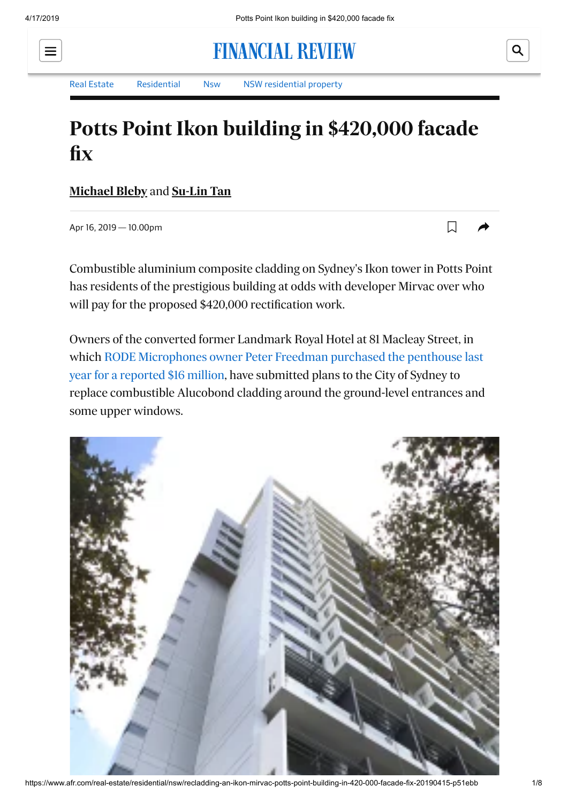

**FINANCIAL REVIEW** 

Q

[Real Estate](https://www.afr.com/real-estate) [Residential](https://www.afr.com/real-estate/residential) [Nsw](https://www.afr.com/real-estate/residential/nsw) [NSW residential property](https://www.afr.com/real-estate/residential/nsw)

## **Potts Point Ikon building in \$420,000 facade fix**

**[Michael Bleby](https://www.afr.com/michael-bleby-j67se)** and **[Su-Lin Tan](https://www.afr.com/su-lin-tan-j7geo)**

Apr 16, 2019 — 10.00pm

 $\Box$ 

Combustible aluminium composite cladding on Sydney's Ikon tower in Potts Point has residents of the prestigious building at odds with developer Mirvac over who will pay for the proposed \$420,000 rectification work.

Owners of the converted former Landmark Royal Hotel at 81 Macleay Street, in [which RODE Microphones owner Peter Freedman purchased the penthouse last](https://www.domain.com.au/news/tv-boss-john-caldons-16-million-penthouse-sale-sets-new-suburb-record-for-potts-point-784574/) year for a reported \$16 million, have submitted plans to the City of Sydney to replace combustible Alucobond cladding around the ground-level entrances and some upper windows.



https://www.afr.com/real-estate/residential/nsw/recladding-an-ikon-mirvac-potts-point-building-in-420-000-facade-fix-20190415-p51ebb 1/8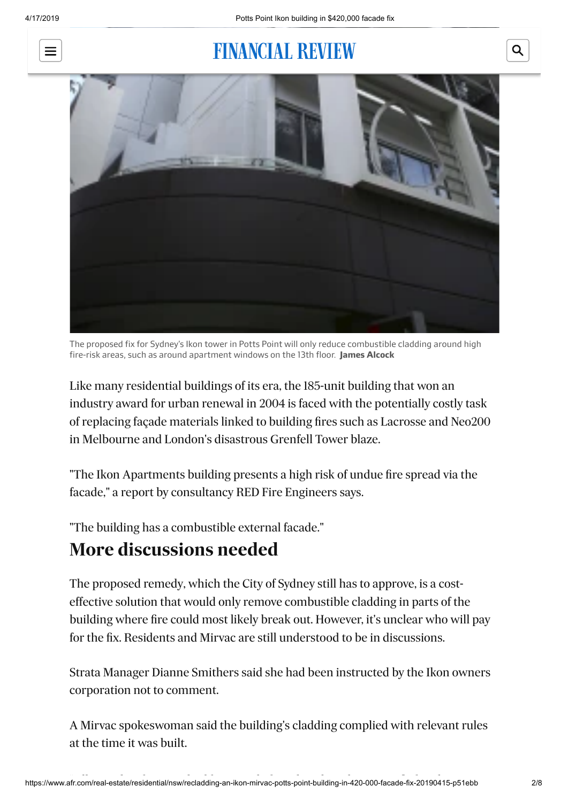

# **FINANCIAL REVIEW**



The proposed fix for Sydney's Ikon tower in Potts Point will only reduce combustible cladding around high fire-risk areas, such as around apartment windows on the 13th floor. **James Alcock**

Like many residential buildings of its era, the 185-unit building that won an industry award for urban renewal in 2004 is faced with the potentially costly task of replacing façade materials linked to building fires such as Lacrosse and Neo200 in Melbourne and London's disastrous Grenfell Tower blaze.

"The Ikon Apartments building presents a high risk of undue fire spread via the facade," a report by consultancy RED Fire Engineers says.

"The building has a combustible external facade."

#### **More discussions needed**

The proposed remedy, which the City of Sydney still has to approve, is a costeffective solution that would only remove combustible cladding in parts of the building where fire could most likely break out. However, it's unclear who will pay for the fix. Residents and Mirvac are still understood to be in discussions.

Strata Manager Dianne Smithers said she had been instructed by the Ikon owners corporation not to comment.

A Mirvac spokeswoman said the building's cladding complied with relevant rules at the time it was built.

Q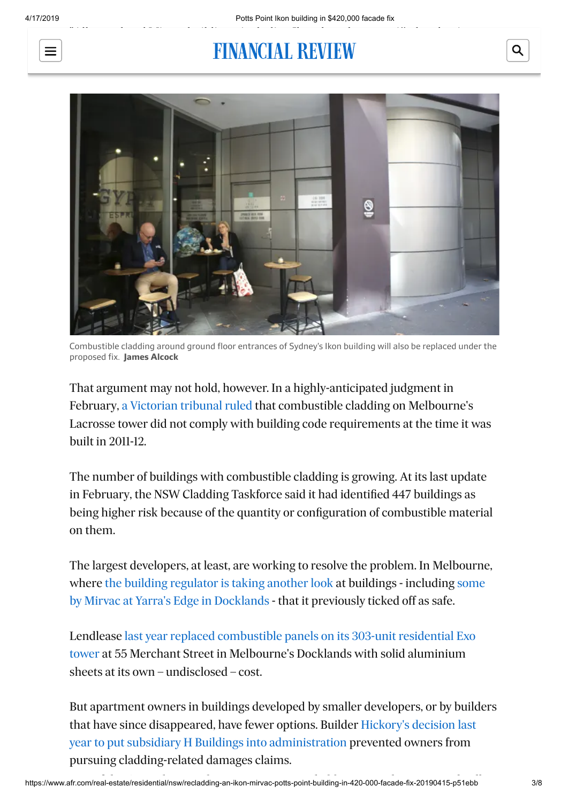

Australia," she said.

# FINANCIAL REVIEW



Combustible cladding around ground floor entrances of Sydney's Ikon building will also be replaced under the proposed fix. **James Alcock**

That argument may not hold, however. In a highly-anticipated judgment in February, [a Victorian tribunal ruled](https://www.afr.com/real-estate/architect-elenberg-fraser-consultants-hit-for-lacrosse-cladding-not-lu-simon-20190228-h1bu8w) that combustible cladding on Melbourne's Lacrosse tower did not comply with building code requirements at the time it was built in 2011-12.

The number of buildings with combustible cladding is growing. At its last update in February, the NSW Cladding Taskforce said it had identified 447 buildings as being higher risk because of the quantity or configuration of combustible material on them.

The largest developers, at least, are working to resolve the problem. In Melbourne, [where](https://www.afr.com/real-estate/apartment-buyers-get-mixed-messages-on-cladding-from-owners-corporations-20190212-h1b6kw) [the building regulator is taking another loo](https://www.afr.com/real-estate/melbourne-apartment-buildings-face-extra-scrutiny-over-combustible-cladding-20190205-h1avoi)[k at buildings - including some](https://www.afr.com/real-estate/apartment-buyers-get-mixed-messages-on-cladding-from-owners-corporations-20190212-h1b6kw) by Mirvac at Yarra's Edge in Docklands - that it previously ticked off as safe.

[Lendlease last year replaced combustible panels on its 303-unit residential Exo](https://www.afr.com/real-estate/tighter-credit-cladding-secrecy-creates-information-gap-for-banks-lenders-20181003-h16757) tower at 55 Merchant Street in Melbourne's Docklands with solid aluminium sheets at its own – undisclosed – cost.

But apartment owners in buildings developed by smaller developers, or by builders [that have since disappeared, have fewer options. Builder Hickory's decision last](https://www.afr.com/real-estate/hickorys-h-buildings-administration-move-halts-second-apartments-cladding-claim-20180904-h14wep) year to put subsidiary H Buildings into administration prevented owners from pursuing cladding-related damages claims.

Q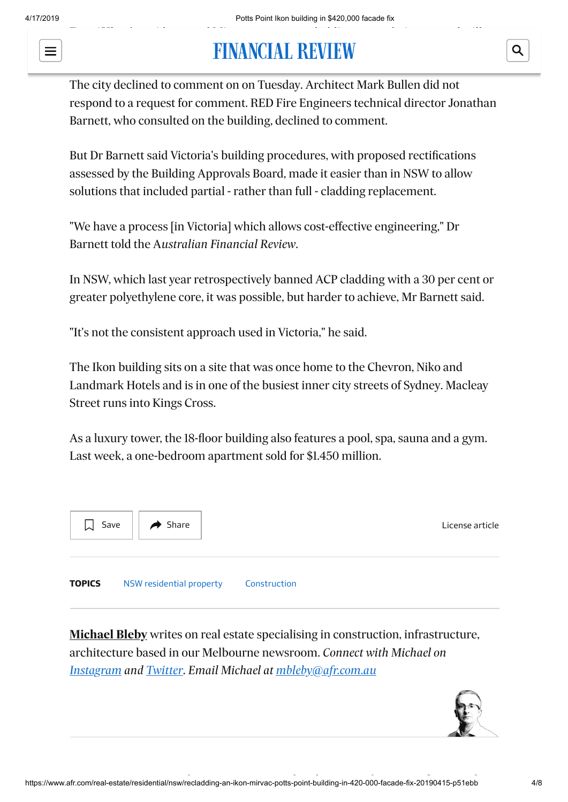$\equiv$ 



The city declined to comment on on Tuesday. Architect Mark Bullen did not respond to a request for comment. RED Fire Engineers technical director Jonathan Barnett, who consulted on the building, declined to comment.

But Dr Barnett said Victoria's building procedures, with proposed rectifications assessed by the Building Approvals Board, made it easier than in NSW to allow solutions that included partial - rather than full - cladding replacement.

"We have a process [in Victoria] which allows cost-effective engineering," Dr Barnett told the A*ustralian Financial Review*.

In NSW, which last year retrospectively banned ACP cladding with a 30 per cent or greater polyethylene core, it was possible, but harder to achieve, Mr Barnett said.

"It's not the consistent approach used in Victoria," he said.

The Ikon building sits on a site that was once home to the Chevron, Niko and Landmark Hotels and is in one of the busiest inner city streets of Sydney. Macleay Street runs into Kings Cross.

As a luxury tower, the 18-floor building also features a pool, spa, sauna and a gym. Last week, a one-bedroom apartment sold for \$1.450 million.



**[Michael Bleby](https://www.afr.com/michael-bleby-j67se)** writes on real estate specialising in construction, infrastructure, architecture based in our Melbourne newsroom. *Connect with Michael on [Instagram](https://instagram.com/michaelbleby) and [Twitter.](https://twitter.com/MichaelBleby?lang=en) Email Michael at [mbleby@afr.com.au](mailto:mbleby@afr.com.au)*



Q